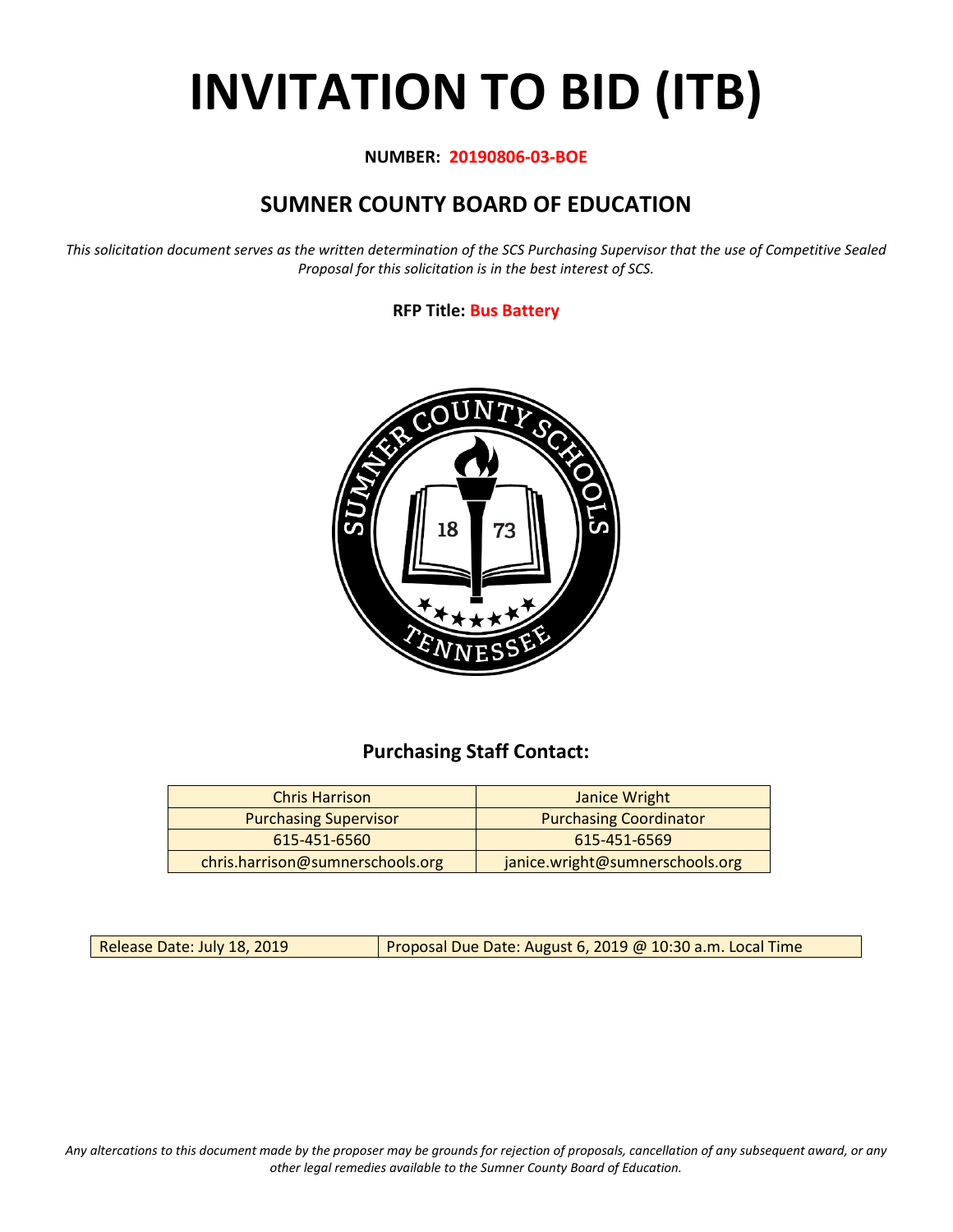# **INVITATION TO BID (ITB)**

## **NUMBER: 20190806-03-BOE**

# **SUMNER COUNTY BOARD OF EDUCATION**

*This solicitation document serves as the written determination of the SCS Purchasing Supervisor that the use of Competitive Sealed Proposal for this solicitation is in the best interest of SCS.*

## **RFP Title: Bus Battery**



## **Purchasing Staff Contact:**

| <b>Chris Harrison</b>            | Janice Wright                   |
|----------------------------------|---------------------------------|
| <b>Purchasing Supervisor</b>     | <b>Purchasing Coordinator</b>   |
| 615-451-6560                     | 615-451-6569                    |
| chris.harrison@sumnerschools.org | janice.wright@sumnerschools.org |

Release Date: July 18, 2019 | Proposal Due Date: August 6, 2019 @ 10:30 a.m. Local Time

*Any altercations to this document made by the proposer may be grounds for rejection of proposals, cancellation of any subsequent award, or any other legal remedies available to the Sumner County Board of Education.*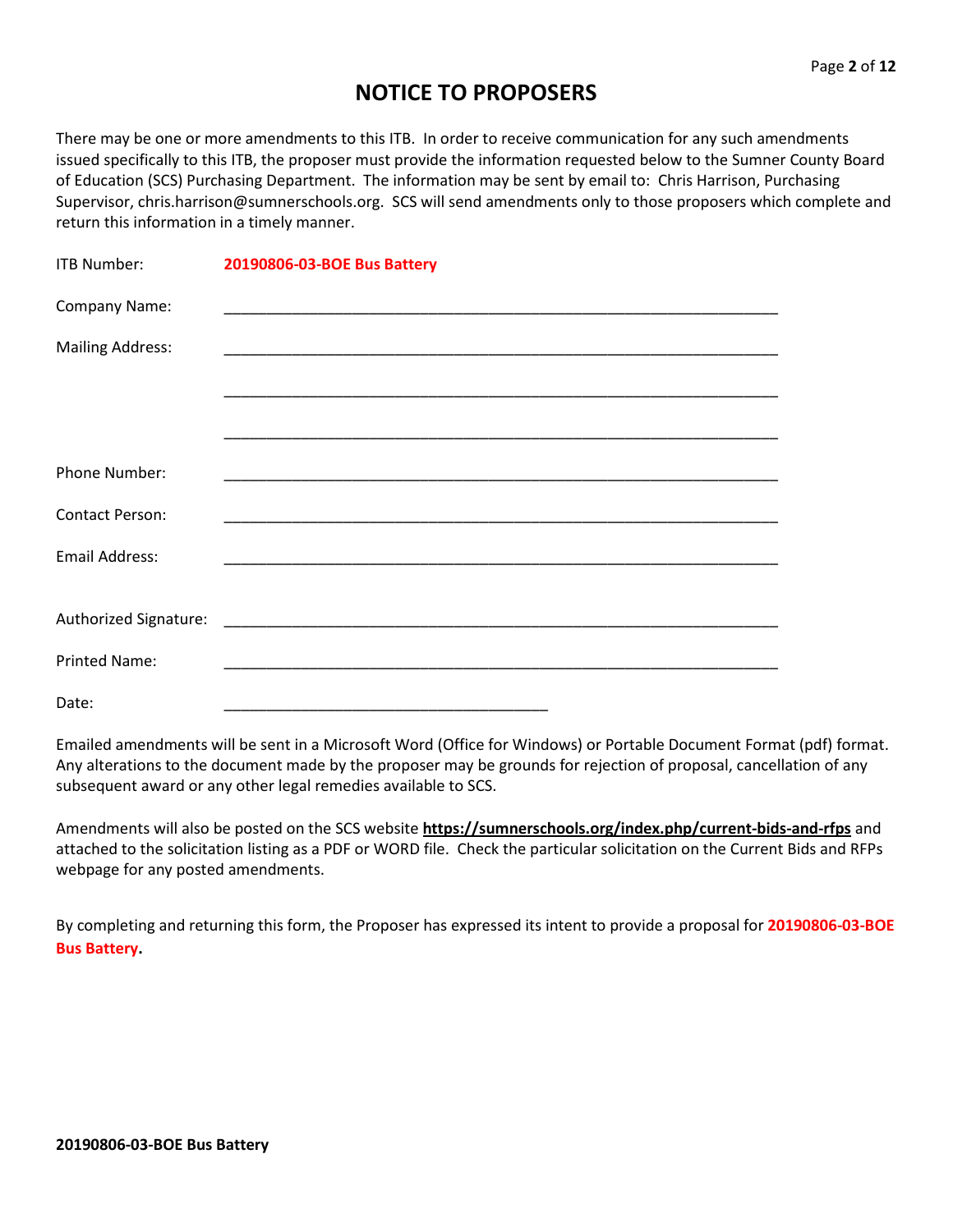# **NOTICE TO PROPOSERS**

There may be one or more amendments to this ITB. In order to receive communication for any such amendments issued specifically to this ITB, the proposer must provide the information requested below to the Sumner County Board of Education (SCS) Purchasing Department. The information may be sent by email to: Chris Harrison, Purchasing Supervisor, chris.harrison@sumnerschools.org. SCS will send amendments only to those proposers which complete and return this information in a timely manner.

| <b>ITB Number:</b>      | 20190806-03-BOE Bus Battery |
|-------------------------|-----------------------------|
| Company Name:           |                             |
| <b>Mailing Address:</b> |                             |
|                         |                             |
|                         |                             |
| <b>Phone Number:</b>    |                             |
| <b>Contact Person:</b>  |                             |
| <b>Email Address:</b>   |                             |
|                         |                             |
| <b>Printed Name:</b>    |                             |
| Date:                   |                             |

Emailed amendments will be sent in a Microsoft Word (Office for Windows) or Portable Document Format (pdf) format. Any alterations to the document made by the proposer may be grounds for rejection of proposal, cancellation of any subsequent award or any other legal remedies available to SCS.

Amendments will also be posted on the SCS website **https://sumnerschools.org/index.php/current-bids-and-rfps** and attached to the solicitation listing as a PDF or WORD file. Check the particular solicitation on the Current Bids and RFPs webpage for any posted amendments.

By completing and returning this form, the Proposer has expressed its intent to provide a proposal for **20190806-03-BOE Bus Battery.**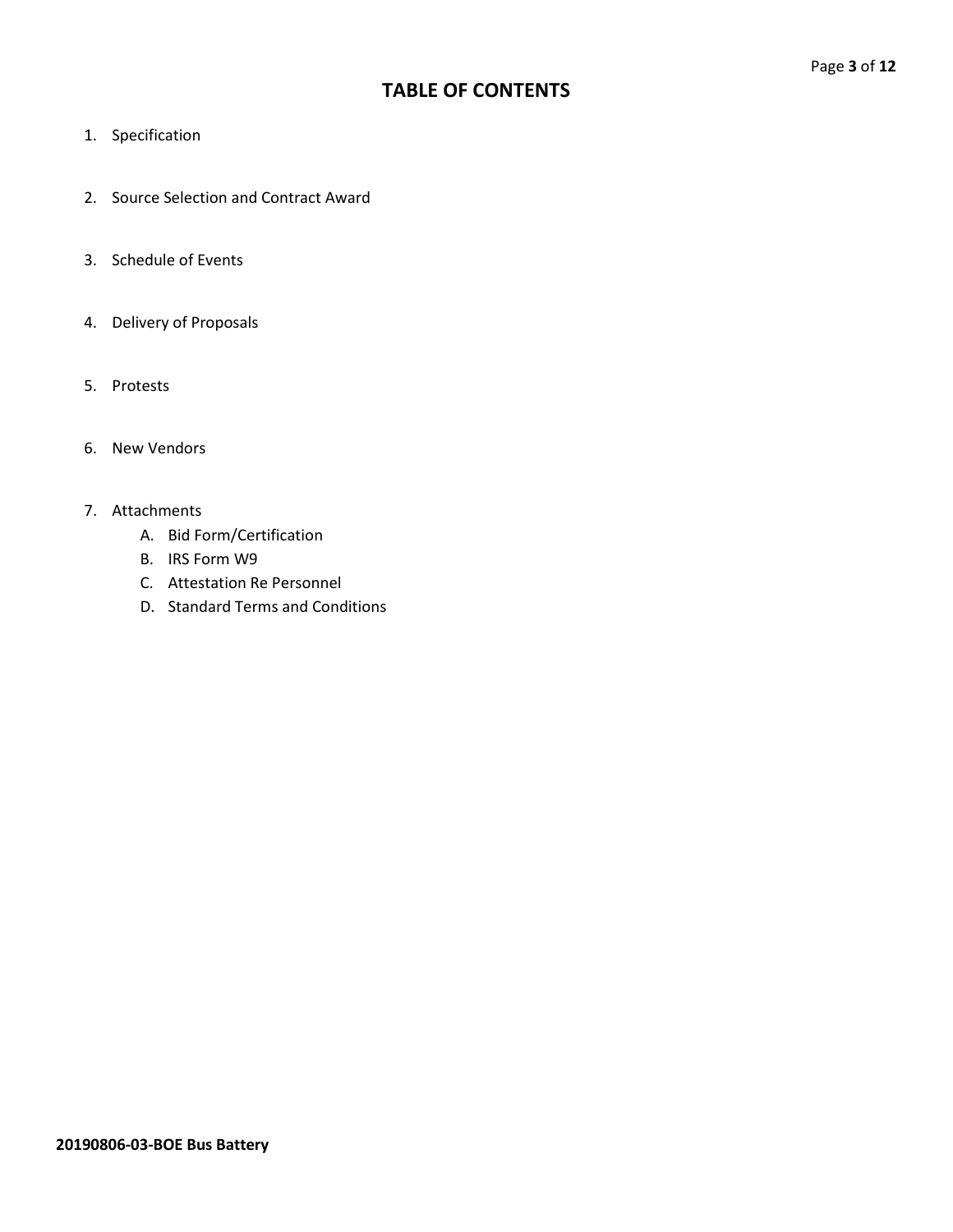## **TABLE OF CONTENTS**

- 1. Specification
- 2. Source Selection and Contract Award
- 3. Schedule of Events
- 4. Delivery of Proposals
- 5. Protests
- 6. New Vendors

#### 7. Attachments

- A. Bid Form/Certification
- B. IRS Form W9
- C. Attestation Re Personnel
- D. Standard Terms and Conditions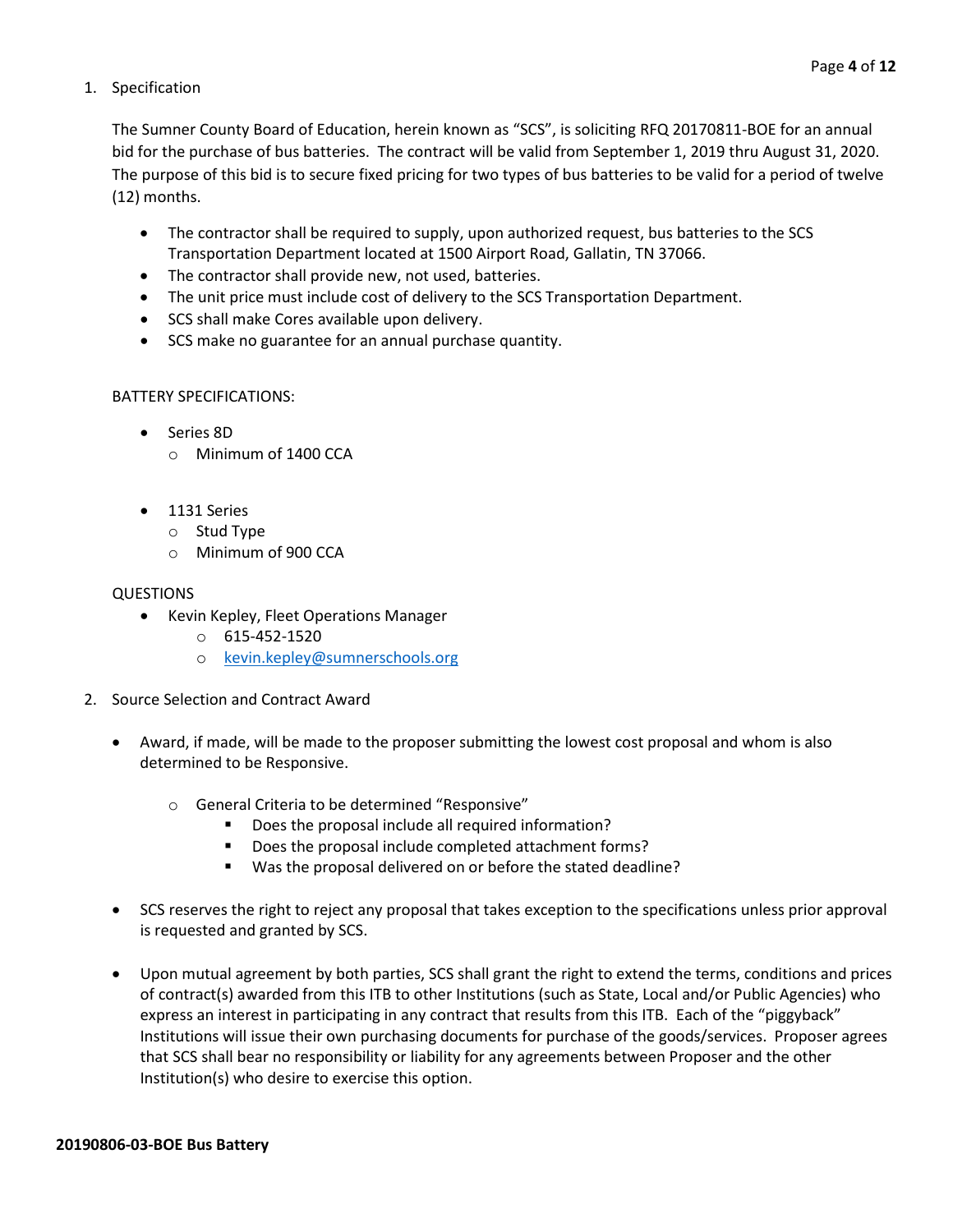#### 1. Specification

The Sumner County Board of Education, herein known as "SCS", is soliciting RFQ 20170811-BOE for an annual bid for the purchase of bus batteries. The contract will be valid from September 1, 2019 thru August 31, 2020. The purpose of this bid is to secure fixed pricing for two types of bus batteries to be valid for a period of twelve (12) months.

- The contractor shall be required to supply, upon authorized request, bus batteries to the SCS Transportation Department located at 1500 Airport Road, Gallatin, TN 37066.
- The contractor shall provide new, not used, batteries.
- The unit price must include cost of delivery to the SCS Transportation Department.
- SCS shall make Cores available upon delivery.
- SCS make no guarantee for an annual purchase quantity.

### BATTERY SPECIFICATIONS:

- Series 8D o Minimum of 1400 CCA
- 1131 Series
	- o Stud Type
	- o Minimum of 900 CCA

### QUESTIONS

- Kevin Kepley, Fleet Operations Manager
	- $O$  615-452-1520
	- o [kevin.kepley@sumnerschools.org](mailto:kevin.kepley@sumnerschools.org)
- 2. Source Selection and Contract Award
	- Award, if made, will be made to the proposer submitting the lowest cost proposal and whom is also determined to be Responsive.
		- o General Criteria to be determined "Responsive"
			- Does the proposal include all required information?
			- Does the proposal include completed attachment forms?
			- Was the proposal delivered on or before the stated deadline?
	- SCS reserves the right to reject any proposal that takes exception to the specifications unless prior approval is requested and granted by SCS.
	- Upon mutual agreement by both parties, SCS shall grant the right to extend the terms, conditions and prices of contract(s) awarded from this ITB to other Institutions (such as State, Local and/or Public Agencies) who express an interest in participating in any contract that results from this ITB. Each of the "piggyback" Institutions will issue their own purchasing documents for purchase of the goods/services. Proposer agrees that SCS shall bear no responsibility or liability for any agreements between Proposer and the other Institution(s) who desire to exercise this option.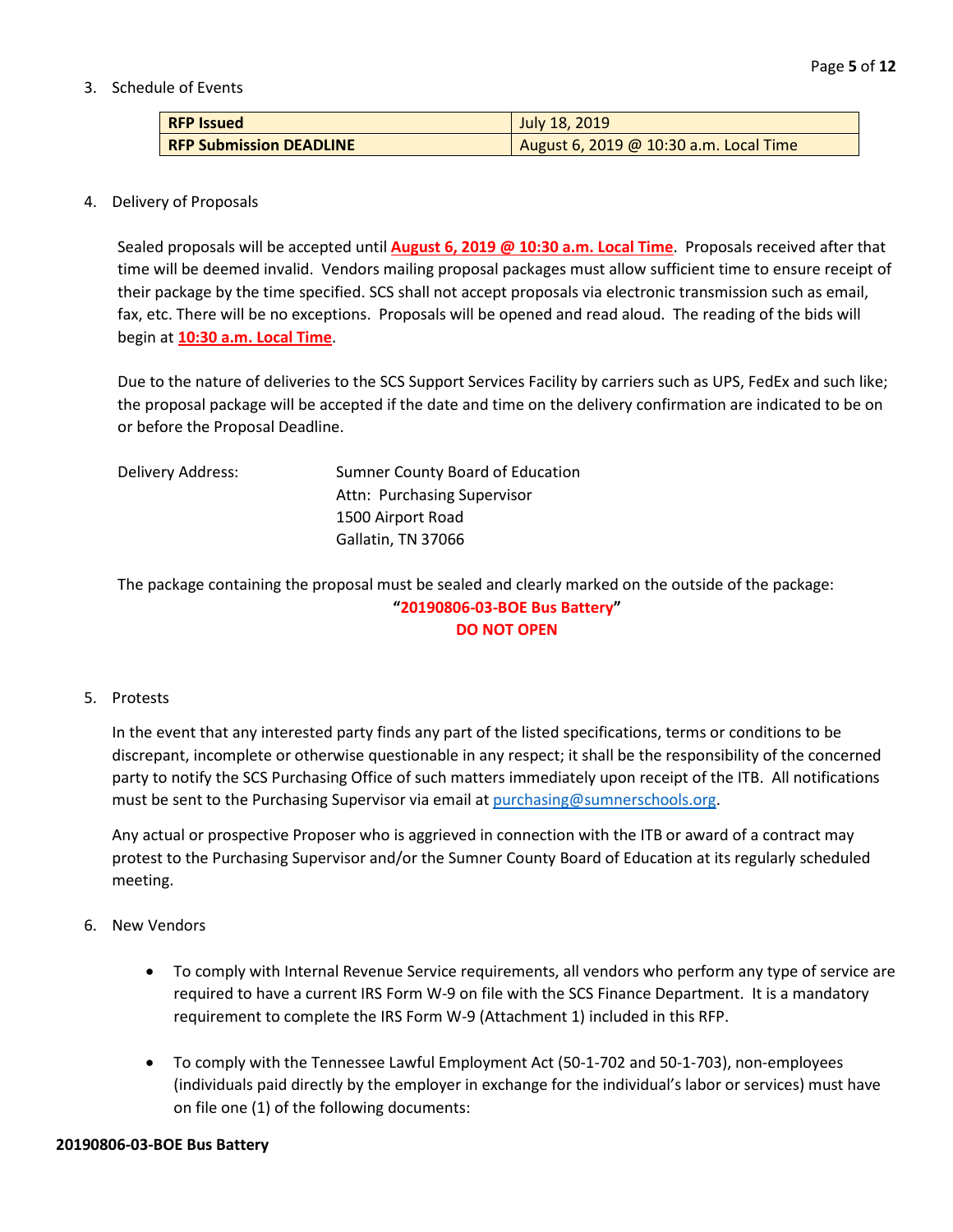#### 3. Schedule of Events

| <b>RFP Issued</b>              | July 18, 2019                          |
|--------------------------------|----------------------------------------|
| <b>RFP Submission DEADLINE</b> | August 6, 2019 @ 10:30 a.m. Local Time |

#### 4. Delivery of Proposals

Sealed proposals will be accepted until **August 6, 2019 @ 10:30 a.m. Local Time**. Proposals received after that time will be deemed invalid. Vendors mailing proposal packages must allow sufficient time to ensure receipt of their package by the time specified. SCS shall not accept proposals via electronic transmission such as email, fax, etc. There will be no exceptions. Proposals will be opened and read aloud. The reading of the bids will begin at **10:30 a.m. Local Time**.

Due to the nature of deliveries to the SCS Support Services Facility by carriers such as UPS, FedEx and such like; the proposal package will be accepted if the date and time on the delivery confirmation are indicated to be on or before the Proposal Deadline.

| Delivery Address: | Sumner County Board of Education |  |  |
|-------------------|----------------------------------|--|--|
|                   | Attn: Purchasing Supervisor      |  |  |
|                   | 1500 Airport Road                |  |  |
|                   | Gallatin, TN 37066               |  |  |

The package containing the proposal must be sealed and clearly marked on the outside of the package: **"20190806-03-BOE Bus Battery" DO NOT OPEN**

#### 5. Protests

In the event that any interested party finds any part of the listed specifications, terms or conditions to be discrepant, incomplete or otherwise questionable in any respect; it shall be the responsibility of the concerned party to notify the SCS Purchasing Office of such matters immediately upon receipt of the ITB. All notifications must be sent to the Purchasing Supervisor via email at [purchasing@sumnerschools.org.](mailto:purchasing@sumnerschools.org)

Any actual or prospective Proposer who is aggrieved in connection with the ITB or award of a contract may protest to the Purchasing Supervisor and/or the Sumner County Board of Education at its regularly scheduled meeting.

#### 6. New Vendors

- To comply with Internal Revenue Service requirements, all vendors who perform any type of service are required to have a current IRS Form W-9 on file with the SCS Finance Department. It is a mandatory requirement to complete the IRS Form W-9 (Attachment 1) included in this RFP.
- To comply with the Tennessee Lawful Employment Act (50-1-702 and 50-1-703), non-employees (individuals paid directly by the employer in exchange for the individual's labor or services) must have on file one (1) of the following documents: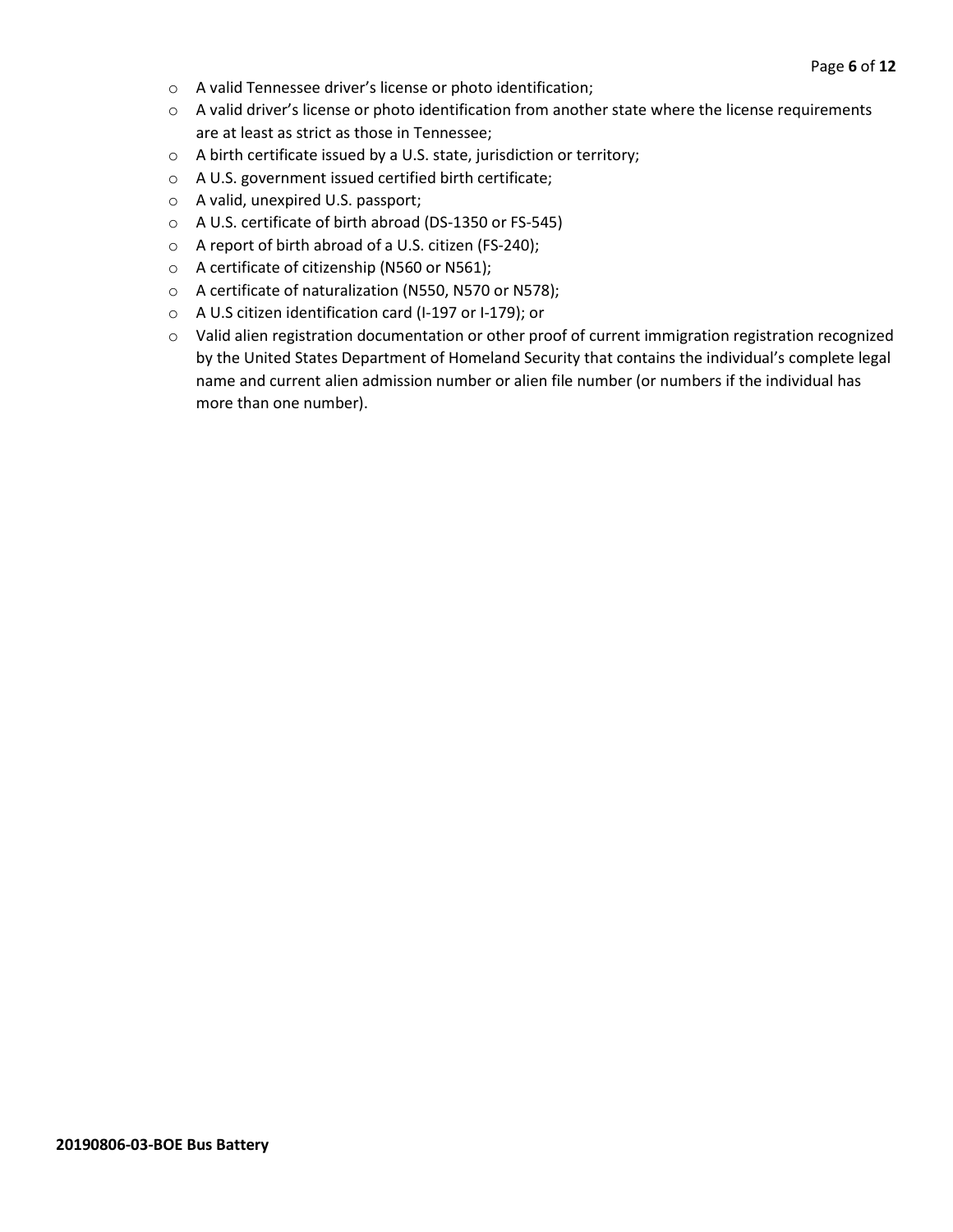- o A valid Tennessee driver's license or photo identification;
- o A valid driver's license or photo identification from another state where the license requirements are at least as strict as those in Tennessee;
- o A birth certificate issued by a U.S. state, jurisdiction or territory;
- o A U.S. government issued certified birth certificate;
- o A valid, unexpired U.S. passport;
- o A U.S. certificate of birth abroad (DS-1350 or FS-545)
- o A report of birth abroad of a U.S. citizen (FS-240);
- o A certificate of citizenship (N560 or N561);
- o A certificate of naturalization (N550, N570 or N578);
- o A U.S citizen identification card (I-197 or I-179); or
- o Valid alien registration documentation or other proof of current immigration registration recognized by the United States Department of Homeland Security that contains the individual's complete legal name and current alien admission number or alien file number (or numbers if the individual has more than one number).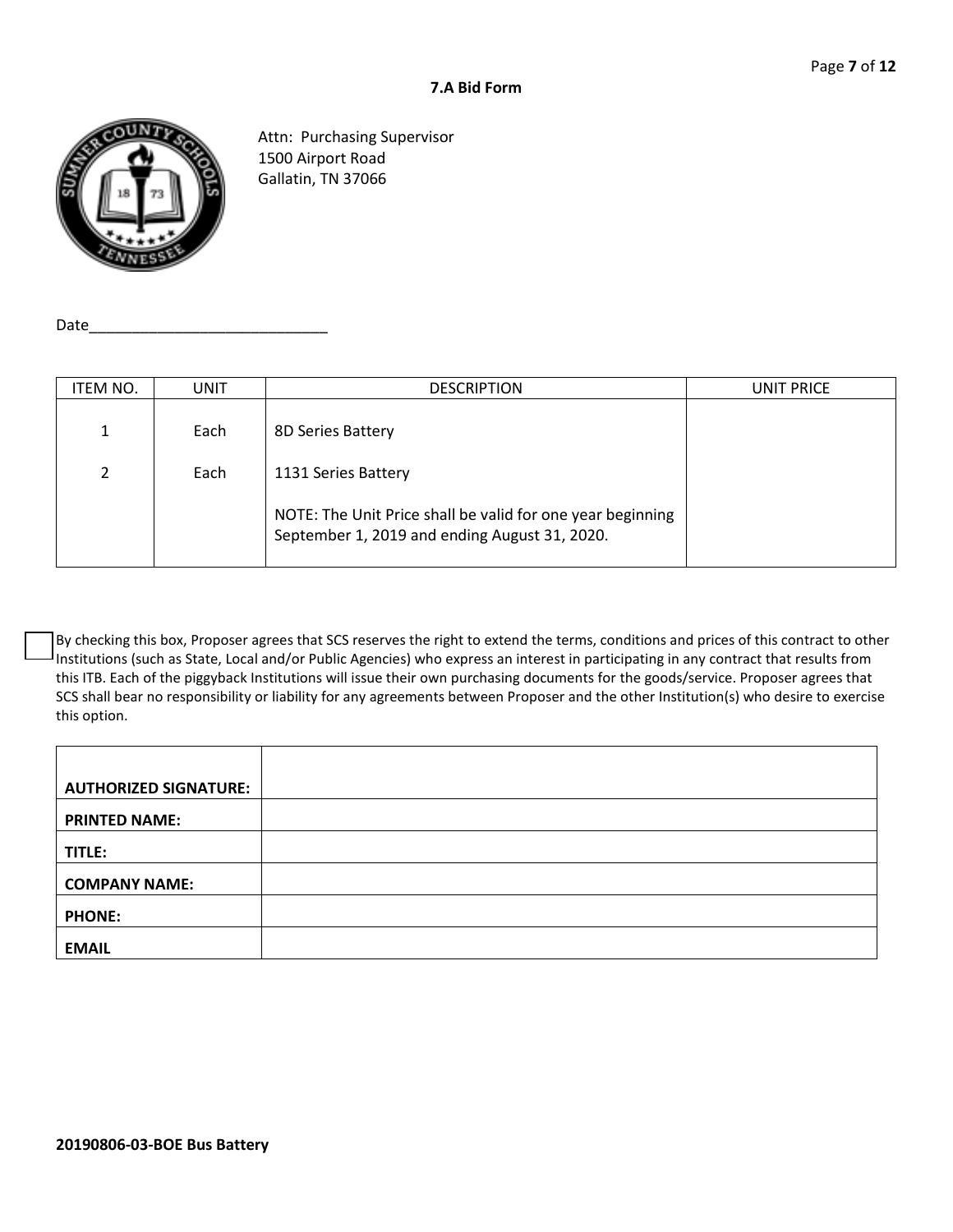

Attn: Purchasing Supervisor 1500 Airport Road Gallatin, TN 37066

Date $\_$ 

| ITEM NO. | <b>UNIT</b> | <b>DESCRIPTION</b>                                                                                          | UNIT PRICE |
|----------|-------------|-------------------------------------------------------------------------------------------------------------|------------|
| 1<br>┻   | Each        | 8D Series Battery                                                                                           |            |
| 2        | Each        | 1131 Series Battery                                                                                         |            |
|          |             | NOTE: The Unit Price shall be valid for one year beginning<br>September 1, 2019 and ending August 31, 2020. |            |

By checking this box, Proposer agrees that SCS reserves the right to extend the terms, conditions and prices of this contract to other Institutions (such as State, Local and/or Public Agencies) who express an interest in participating in any contract that results from this ITB. Each of the piggyback Institutions will issue their own purchasing documents for the goods/service. Proposer agrees that SCS shall bear no responsibility or liability for any agreements between Proposer and the other Institution(s) who desire to exercise this option.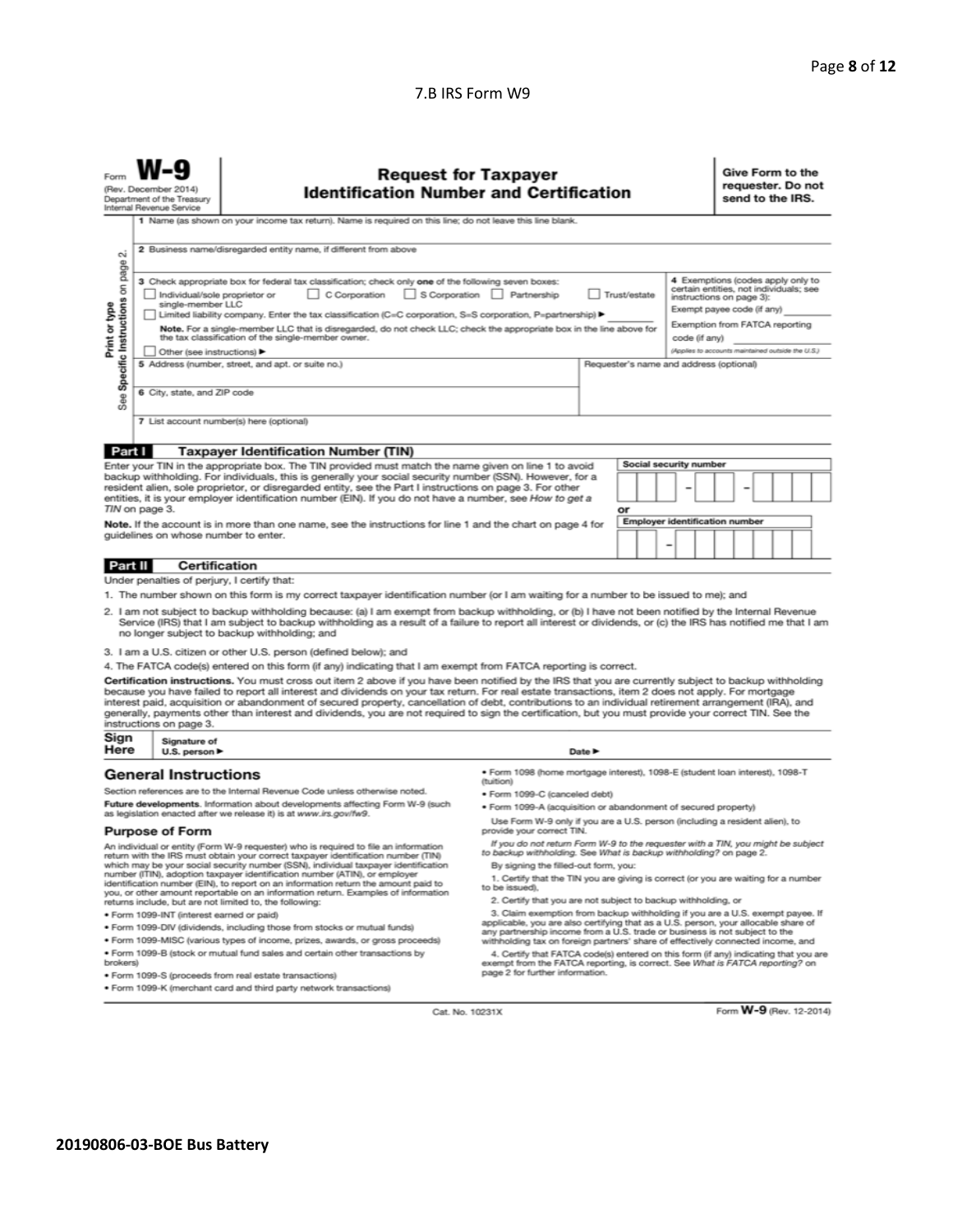#### 7.B IRS Form W9

| Form                                                                                                                                                                                                                                                                                                                                                                                                                                                                                                                                                                                                                                                                                                                                                                          | <b>Request for Taxpayer</b><br>(Rev. December 2014)<br><b>Identification Number and Certification</b><br>Department of the Treasury<br>Internal Revenue Service |                                                                                                                                                                                                                                                                |                                                                                                                                                                                              |                                         | Give Form to the<br>send to the IRS. | requester. Do not |                                                   |  |
|-------------------------------------------------------------------------------------------------------------------------------------------------------------------------------------------------------------------------------------------------------------------------------------------------------------------------------------------------------------------------------------------------------------------------------------------------------------------------------------------------------------------------------------------------------------------------------------------------------------------------------------------------------------------------------------------------------------------------------------------------------------------------------|-----------------------------------------------------------------------------------------------------------------------------------------------------------------|----------------------------------------------------------------------------------------------------------------------------------------------------------------------------------------------------------------------------------------------------------------|----------------------------------------------------------------------------------------------------------------------------------------------------------------------------------------------|-----------------------------------------|--------------------------------------|-------------------|---------------------------------------------------|--|
| 1 Name (as shown on your income tax return). Name is required on this line; do not leave this line blank.                                                                                                                                                                                                                                                                                                                                                                                                                                                                                                                                                                                                                                                                     |                                                                                                                                                                 |                                                                                                                                                                                                                                                                |                                                                                                                                                                                              |                                         |                                      |                   |                                                   |  |
| $\sim$                                                                                                                                                                                                                                                                                                                                                                                                                                                                                                                                                                                                                                                                                                                                                                        | 2 Business name/disregarded entity name, if different from above                                                                                                |                                                                                                                                                                                                                                                                |                                                                                                                                                                                              |                                         |                                      |                   |                                                   |  |
| page<br>4 Exemptions (codes apply only to<br>3 Check appropriate box for federal tax classification; check only one of the following seven boxes:<br>See Specific Instructions on<br>certain entities, not individuals; see<br>C Corporation<br>S Corporation<br>Partnership<br>Trust/estate<br>Individual/sole proprietor or<br>instructions on page 3):<br>single-member LLC<br>Print or type<br>Exempt payee code (if any)<br>Limited liability company. Enter the tax classification (C=C corporation, S=S corporation, P=partnership) ▶<br>Exemption from FATCA reporting<br>Note. For a single-member LLC that is disregarded, do not check LLC; check the appropriate box in the line above for<br>the tax classification of the single-member owner.<br>code (if any) |                                                                                                                                                                 |                                                                                                                                                                                                                                                                |                                                                                                                                                                                              |                                         |                                      |                   |                                                   |  |
|                                                                                                                                                                                                                                                                                                                                                                                                                                                                                                                                                                                                                                                                                                                                                                               | Other (see instructions)                                                                                                                                        | 5 Address (number, street, and apt. or suite no.)                                                                                                                                                                                                              |                                                                                                                                                                                              | Requester's name and address (optional) |                                      |                   | (Applies to accounts maintained outside the U.S.) |  |
|                                                                                                                                                                                                                                                                                                                                                                                                                                                                                                                                                                                                                                                                                                                                                                               |                                                                                                                                                                 |                                                                                                                                                                                                                                                                |                                                                                                                                                                                              |                                         |                                      |                   |                                                   |  |
| 6 City, state, and ZIP code                                                                                                                                                                                                                                                                                                                                                                                                                                                                                                                                                                                                                                                                                                                                                   |                                                                                                                                                                 |                                                                                                                                                                                                                                                                |                                                                                                                                                                                              |                                         |                                      |                   |                                                   |  |
|                                                                                                                                                                                                                                                                                                                                                                                                                                                                                                                                                                                                                                                                                                                                                                               |                                                                                                                                                                 | 7 List account number(s) here (optional)                                                                                                                                                                                                                       |                                                                                                                                                                                              |                                         |                                      |                   |                                                   |  |
|                                                                                                                                                                                                                                                                                                                                                                                                                                                                                                                                                                                                                                                                                                                                                                               |                                                                                                                                                                 |                                                                                                                                                                                                                                                                |                                                                                                                                                                                              |                                         |                                      |                   |                                                   |  |
| Part I                                                                                                                                                                                                                                                                                                                                                                                                                                                                                                                                                                                                                                                                                                                                                                        |                                                                                                                                                                 | <b>Taxpayer Identification Number (TIN)</b>                                                                                                                                                                                                                    |                                                                                                                                                                                              |                                         |                                      |                   |                                                   |  |
| Social security number<br>Enter your TIN in the appropriate box. The TIN provided must match the name given on line 1 to avoid<br>backup withholding. For individuals, this is generally your social security number (SSN). However, for a<br>resident alien, sole proprietor, or disregarded entity, see the Part I instructions on page 3. For other<br>entities, it is your employer identification number (EIN). If you do not have a number, see How to get a<br>TIN on page 3.<br>or                                                                                                                                                                                                                                                                                    |                                                                                                                                                                 |                                                                                                                                                                                                                                                                |                                                                                                                                                                                              |                                         |                                      |                   |                                                   |  |
|                                                                                                                                                                                                                                                                                                                                                                                                                                                                                                                                                                                                                                                                                                                                                                               |                                                                                                                                                                 | Note. If the account is in more than one name, see the instructions for line 1 and the chart on page 4 for                                                                                                                                                     |                                                                                                                                                                                              |                                         |                                      |                   | <b>Employer identification number</b>             |  |
| quidelines on whose number to enter.<br>$\overline{\phantom{0}}$                                                                                                                                                                                                                                                                                                                                                                                                                                                                                                                                                                                                                                                                                                              |                                                                                                                                                                 |                                                                                                                                                                                                                                                                |                                                                                                                                                                                              |                                         |                                      |                   |                                                   |  |
| Part II                                                                                                                                                                                                                                                                                                                                                                                                                                                                                                                                                                                                                                                                                                                                                                       | Certification                                                                                                                                                   |                                                                                                                                                                                                                                                                |                                                                                                                                                                                              |                                         |                                      |                   |                                                   |  |
|                                                                                                                                                                                                                                                                                                                                                                                                                                                                                                                                                                                                                                                                                                                                                                               | Under penalties of perjury, I certify that:                                                                                                                     |                                                                                                                                                                                                                                                                |                                                                                                                                                                                              |                                         |                                      |                   |                                                   |  |
|                                                                                                                                                                                                                                                                                                                                                                                                                                                                                                                                                                                                                                                                                                                                                                               |                                                                                                                                                                 | 1. The number shown on this form is my correct taxpayer identification number (or I am waiting for a number to be issued to me); and                                                                                                                           |                                                                                                                                                                                              |                                         |                                      |                   |                                                   |  |
| 2. I am not subject to backup withholding because: (a) I am exempt from backup withholding, or (b) I have not been notified by the Internal Revenue<br>Service (IRS) that I am subject to backup withholding as a result of a failure to report all interest or dividends, or (c) the IRS has notified me that I am<br>no longer subject to backup withholding; and                                                                                                                                                                                                                                                                                                                                                                                                           |                                                                                                                                                                 |                                                                                                                                                                                                                                                                |                                                                                                                                                                                              |                                         |                                      |                   |                                                   |  |
|                                                                                                                                                                                                                                                                                                                                                                                                                                                                                                                                                                                                                                                                                                                                                                               |                                                                                                                                                                 | 3. I am a U.S. citizen or other U.S. person (defined below); and                                                                                                                                                                                               |                                                                                                                                                                                              |                                         |                                      |                   |                                                   |  |
| 4. The FATCA code(s) entered on this form (if any) indicating that I am exempt from FATCA reporting is correct.                                                                                                                                                                                                                                                                                                                                                                                                                                                                                                                                                                                                                                                               |                                                                                                                                                                 |                                                                                                                                                                                                                                                                |                                                                                                                                                                                              |                                         |                                      |                   |                                                   |  |
| Certification instructions. You must cross out item 2 above if you have been notified by the IRS that you are currently subject to backup withholding<br>because you have failed to report all interest and dividends on your tax return. For real estate transactions, item 2 does not apply. For mortgage<br>interest paid, acquisition or abandonment of secured property, cancellation of debt, contributions to an individual retirement arrangement (IRA), and<br>generally, payments other than interest and dividends, you are not required to sign the certification, but you must provide your correct TIN. See the<br>instructions on page 3.                                                                                                                      |                                                                                                                                                                 |                                                                                                                                                                                                                                                                |                                                                                                                                                                                              |                                         |                                      |                   |                                                   |  |
| Sign<br>Here                                                                                                                                                                                                                                                                                                                                                                                                                                                                                                                                                                                                                                                                                                                                                                  | Signature of<br>U.S. person $\blacktriangleright$<br>Date $\blacktriangleright$                                                                                 |                                                                                                                                                                                                                                                                |                                                                                                                                                                                              |                                         |                                      |                   |                                                   |  |
|                                                                                                                                                                                                                                                                                                                                                                                                                                                                                                                                                                                                                                                                                                                                                                               | <b>General Instructions</b>                                                                                                                                     |                                                                                                                                                                                                                                                                | · Form 1098 (home mortgage interest), 1098-E (student loan interest), 1098-T<br>(tuition)                                                                                                    |                                         |                                      |                   |                                                   |  |
|                                                                                                                                                                                                                                                                                                                                                                                                                                                                                                                                                                                                                                                                                                                                                                               |                                                                                                                                                                 | Section references are to the Internal Revenue Code unless otherwise noted.                                                                                                                                                                                    | · Form 1099-C (canceled debt)                                                                                                                                                                |                                         |                                      |                   |                                                   |  |
|                                                                                                                                                                                                                                                                                                                                                                                                                                                                                                                                                                                                                                                                                                                                                                               |                                                                                                                                                                 | Future developments. Information about developments affecting Form W-9 (such<br>as legislation enacted after we release it) is at www.irs.gov/fw9.                                                                                                             | · Form 1099-A (acquisition or abandonment of secured property)                                                                                                                               |                                         |                                      |                   |                                                   |  |
|                                                                                                                                                                                                                                                                                                                                                                                                                                                                                                                                                                                                                                                                                                                                                                               | <b>Purpose of Form</b>                                                                                                                                          |                                                                                                                                                                                                                                                                | Use Form W-9 only if you are a U.S. person (including a resident alien), to<br>provide your correct TIN.                                                                                     |                                         |                                      |                   |                                                   |  |
|                                                                                                                                                                                                                                                                                                                                                                                                                                                                                                                                                                                                                                                                                                                                                                               |                                                                                                                                                                 | An individual or entity (Form W-9 requester) who is required to file an information<br>return with the IRS must obtain your correct taxpayer identification number (TIN)<br>which may be your social security number (SSN), individual taxpayer identification | If you do not return Form W-9 to the requester with a TIN, you might be subject<br>to backup withholding. See What is backup withholding? on page 2.<br>By signing the filled-out form, you: |                                         |                                      |                   |                                                   |  |
|                                                                                                                                                                                                                                                                                                                                                                                                                                                                                                                                                                                                                                                                                                                                                                               |                                                                                                                                                                 | number (ITIN), adoption taxpayer identification number (ATIN), or employer<br>identification number (EIM) to report on an information return the amount of                                                                                                     | 1. Certify that the TIN you are giving is correct (or you are waiting for a number                                                                                                           |                                         |                                      |                   |                                                   |  |

ben included that reportable on an information return. Examples of information<br>returns include, but are not limited to, the following:

· Form 1099-INT (interest earned or paid)

- . Form 1099-DIV (dividends, including those from stocks or mutual funds)
- · Form 1099-MISC (various types of income, prizes, awards, or gross proceeds) . Form 1099-B (stock or mutual fund sales and certain other transactions by brokers)
- · Form 1099-S (proceeds from real estate transactions)
- · Form 1099-K (merchant card and third party network transactions)
- to be issued).
- 2. Certify that you are not subject to backup withholding, or
- 2. Certify that you are not subject to backup withholding, or<br>3. Claim exemption from backup withholding if you are a U.S. exempt payee. If<br>applicable, you are also certifying that as a U.S. person, your allocable share of

withholding tax on foreign partners' share of effectively connected income, and<br>4. Certify that FATCA code(s) entered on this form (if any) indicating that you are<br>exempt from the FATCA reporting, is correct. See What is F

Cat. No. 10231X

Form W-9 (Rev. 12-2014)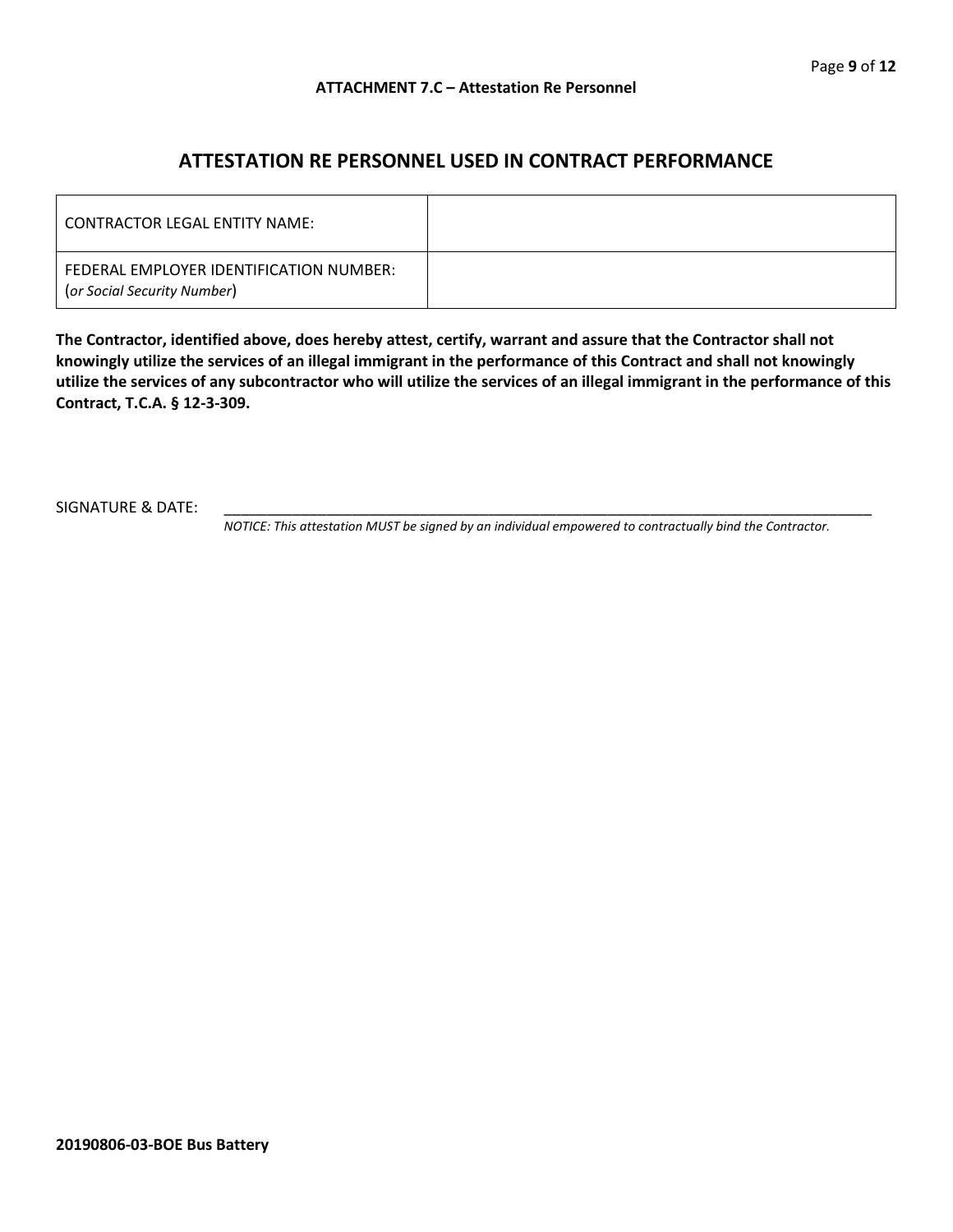## **ATTESTATION RE PERSONNEL USED IN CONTRACT PERFORMANCE**

| LCONTRACTOR LEGAL ENTITY NAME:                                         |  |
|------------------------------------------------------------------------|--|
| FEDERAL EMPLOYER IDENTIFICATION NUMBER:<br>(or Social Security Number) |  |

**The Contractor, identified above, does hereby attest, certify, warrant and assure that the Contractor shall not knowingly utilize the services of an illegal immigrant in the performance of this Contract and shall not knowingly utilize the services of any subcontractor who will utilize the services of an illegal immigrant in the performance of this Contract, T.C.A. § 12-3-309.**

SIGNATURE & DATE:

*NOTICE: This attestation MUST be signed by an individual empowered to contractually bind the Contractor.*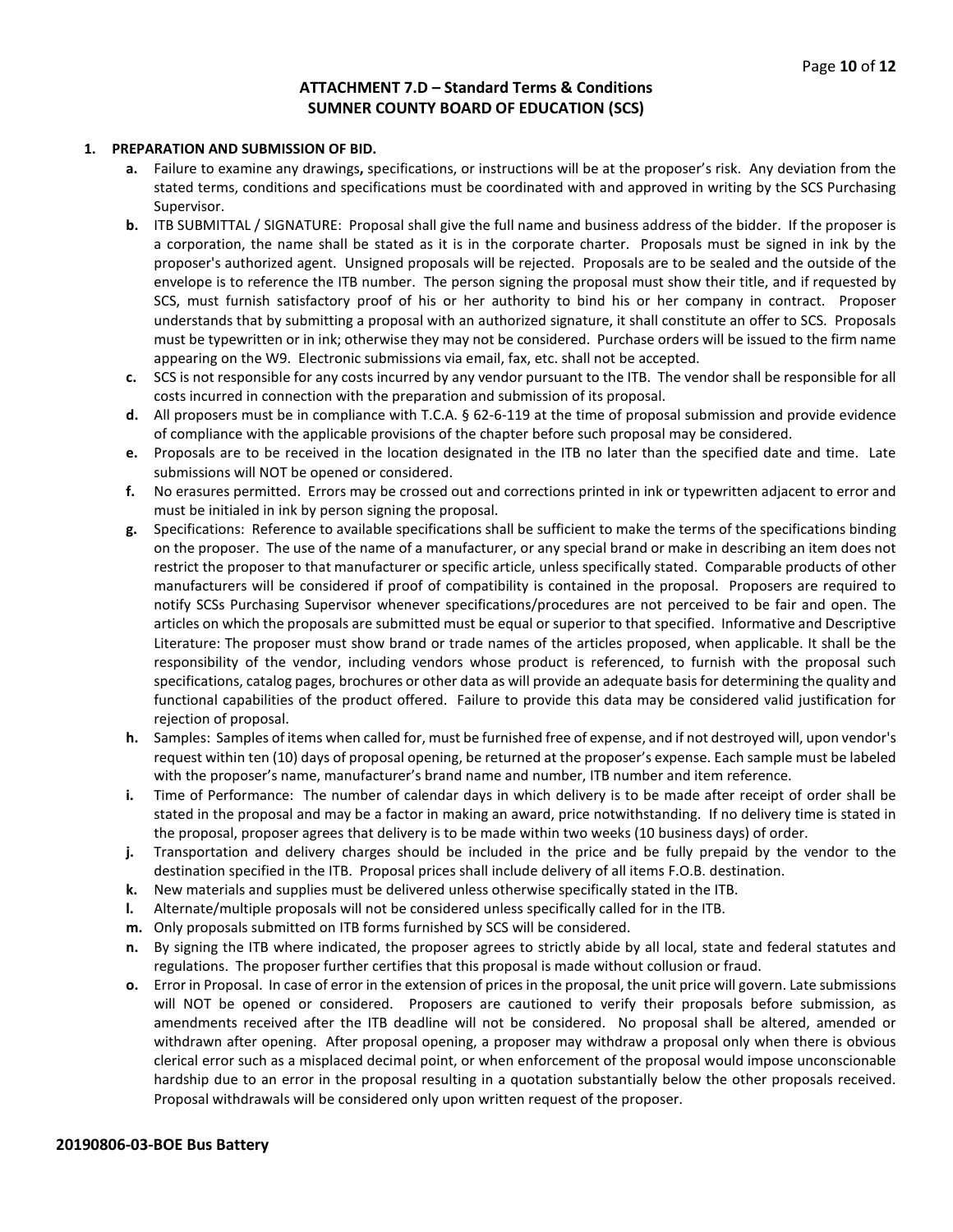#### **ATTACHMENT 7.D – Standard Terms & Conditions SUMNER COUNTY BOARD OF EDUCATION (SCS)**

#### **1. PREPARATION AND SUBMISSION OF BID.**

- **a.** Failure to examine any drawings**,** specifications, or instructions will be at the proposer's risk. Any deviation from the stated terms, conditions and specifications must be coordinated with and approved in writing by the SCS Purchasing Supervisor.
- **b.** ITB SUBMITTAL / SIGNATURE: Proposal shall give the full name and business address of the bidder. If the proposer is a corporation, the name shall be stated as it is in the corporate charter. Proposals must be signed in ink by the proposer's authorized agent. Unsigned proposals will be rejected. Proposals are to be sealed and the outside of the envelope is to reference the ITB number. The person signing the proposal must show their title, and if requested by SCS, must furnish satisfactory proof of his or her authority to bind his or her company in contract. Proposer understands that by submitting a proposal with an authorized signature, it shall constitute an offer to SCS. Proposals must be typewritten or in ink; otherwise they may not be considered. Purchase orders will be issued to the firm name appearing on the W9. Electronic submissions via email, fax, etc. shall not be accepted.
- **c.** SCS is not responsible for any costs incurred by any vendor pursuant to the ITB. The vendor shall be responsible for all costs incurred in connection with the preparation and submission of its proposal.
- **d.** All proposers must be in compliance with T.C.A. § 62-6-119 at the time of proposal submission and provide evidence of compliance with the applicable provisions of the chapter before such proposal may be considered.
- **e.** Proposals are to be received in the location designated in the ITB no later than the specified date and time. Late submissions will NOT be opened or considered.
- **f.** No erasures permitted. Errors may be crossed out and corrections printed in ink or typewritten adjacent to error and must be initialed in ink by person signing the proposal.
- **g.** Specifications: Reference to available specifications shall be sufficient to make the terms of the specifications binding on the proposer. The use of the name of a manufacturer, or any special brand or make in describing an item does not restrict the proposer to that manufacturer or specific article, unless specifically stated. Comparable products of other manufacturers will be considered if proof of compatibility is contained in the proposal. Proposers are required to notify SCSs Purchasing Supervisor whenever specifications/procedures are not perceived to be fair and open. The articles on which the proposals are submitted must be equal or superior to that specified. Informative and Descriptive Literature: The proposer must show brand or trade names of the articles proposed, when applicable. It shall be the responsibility of the vendor, including vendors whose product is referenced, to furnish with the proposal such specifications, catalog pages, brochures or other data as will provide an adequate basis for determining the quality and functional capabilities of the product offered. Failure to provide this data may be considered valid justification for rejection of proposal.
- **h.** Samples: Samples of items when called for, must be furnished free of expense, and if not destroyed will, upon vendor's request within ten (10) days of proposal opening, be returned at the proposer's expense. Each sample must be labeled with the proposer's name, manufacturer's brand name and number, ITB number and item reference.
- **i.** Time of Performance: The number of calendar days in which delivery is to be made after receipt of order shall be stated in the proposal and may be a factor in making an award, price notwithstanding. If no delivery time is stated in the proposal, proposer agrees that delivery is to be made within two weeks (10 business days) of order.
- **j.** Transportation and delivery charges should be included in the price and be fully prepaid by the vendor to the destination specified in the ITB. Proposal prices shall include delivery of all items F.O.B. destination.
- **k.** New materials and supplies must be delivered unless otherwise specifically stated in the ITB.
- **l.** Alternate/multiple proposals will not be considered unless specifically called for in the ITB.
- **m.** Only proposals submitted on ITB forms furnished by SCS will be considered.
- **n.** By signing the ITB where indicated, the proposer agrees to strictly abide by all local, state and federal statutes and regulations. The proposer further certifies that this proposal is made without collusion or fraud.
- **o.** Error in Proposal. In case of error in the extension of prices in the proposal, the unit price will govern. Late submissions will NOT be opened or considered. Proposers are cautioned to verify their proposals before submission, as amendments received after the ITB deadline will not be considered. No proposal shall be altered, amended or withdrawn after opening. After proposal opening, a proposer may withdraw a proposal only when there is obvious clerical error such as a misplaced decimal point, or when enforcement of the proposal would impose unconscionable hardship due to an error in the proposal resulting in a quotation substantially below the other proposals received. Proposal withdrawals will be considered only upon written request of the proposer.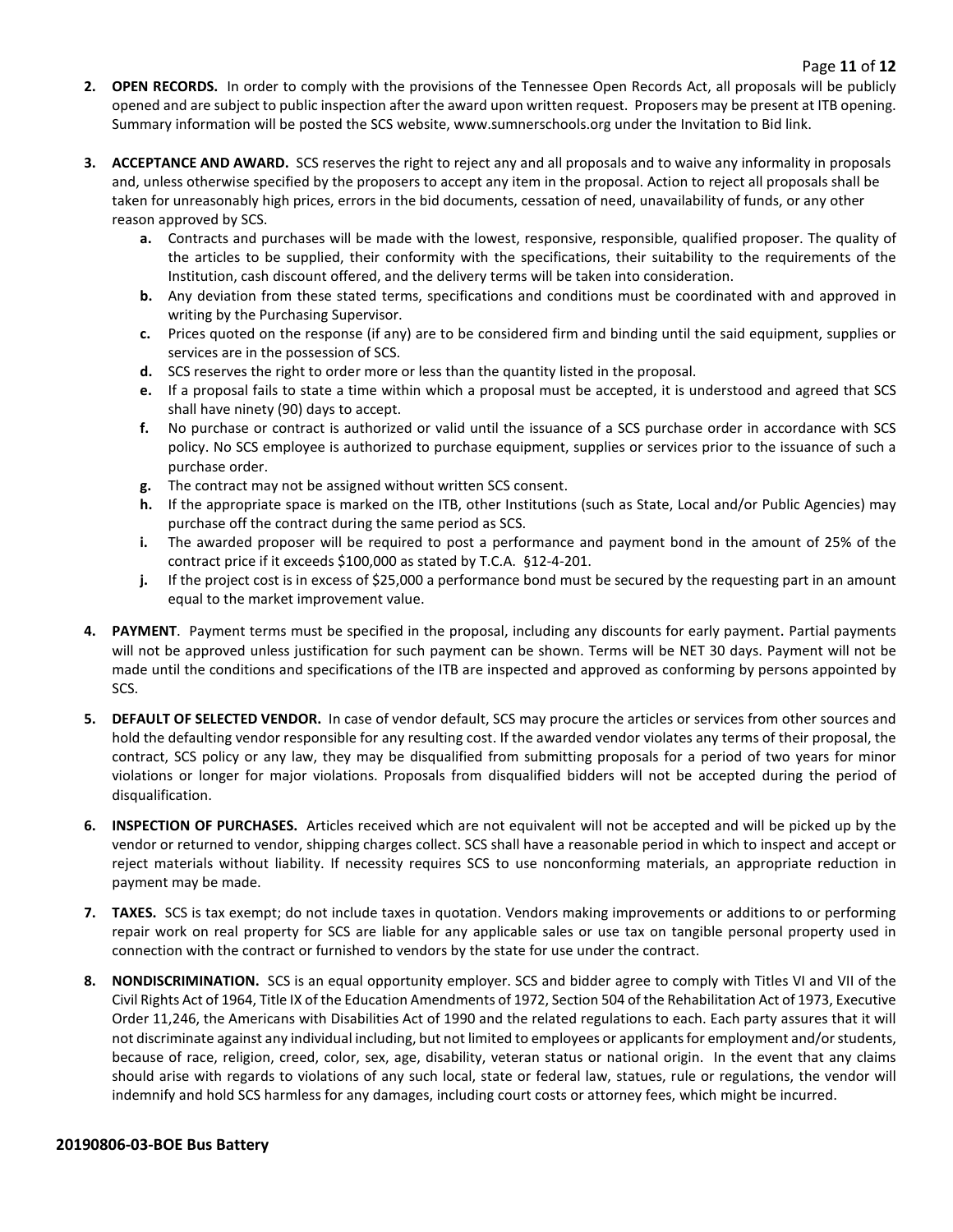- **2. OPEN RECORDS.** In order to comply with the provisions of the Tennessee Open Records Act, all proposals will be publicly opened and are subject to public inspection after the award upon written request. Proposers may be present at ITB opening. Summary information will be posted the SCS website, www.sumnerschools.org under the Invitation to Bid link.
- **3. ACCEPTANCE AND AWARD.** SCS reserves the right to reject any and all proposals and to waive any informality in proposals and, unless otherwise specified by the proposers to accept any item in the proposal. Action to reject all proposals shall be taken for unreasonably high prices, errors in the bid documents, cessation of need, unavailability of funds, or any other reason approved by SCS.
	- **a.** Contracts and purchases will be made with the lowest, responsive, responsible, qualified proposer. The quality of the articles to be supplied, their conformity with the specifications, their suitability to the requirements of the Institution, cash discount offered, and the delivery terms will be taken into consideration.
	- **b.** Any deviation from these stated terms, specifications and conditions must be coordinated with and approved in writing by the Purchasing Supervisor.
	- **c.** Prices quoted on the response (if any) are to be considered firm and binding until the said equipment, supplies or services are in the possession of SCS.
	- **d.** SCS reserves the right to order more or less than the quantity listed in the proposal.
	- **e.** If a proposal fails to state a time within which a proposal must be accepted, it is understood and agreed that SCS shall have ninety (90) days to accept.
	- **f.** No purchase or contract is authorized or valid until the issuance of a SCS purchase order in accordance with SCS policy. No SCS employee is authorized to purchase equipment, supplies or services prior to the issuance of such a purchase order.
	- **g.** The contract may not be assigned without written SCS consent.
	- **h.** If the appropriate space is marked on the ITB, other Institutions (such as State, Local and/or Public Agencies) may purchase off the contract during the same period as SCS.
	- **i.** The awarded proposer will be required to post a performance and payment bond in the amount of 25% of the contract price if it exceeds \$100,000 as stated by T.C.A. §12-4-201.
	- **j.** If the project cost is in excess of \$25,000 a performance bond must be secured by the requesting part in an amount equal to the market improvement value.
- **4. PAYMENT**. Payment terms must be specified in the proposal, including any discounts for early payment. Partial payments will not be approved unless justification for such payment can be shown. Terms will be NET 30 days. Payment will not be made until the conditions and specifications of the ITB are inspected and approved as conforming by persons appointed by SCS.
- **5. DEFAULT OF SELECTED VENDOR.** In case of vendor default, SCS may procure the articles or services from other sources and hold the defaulting vendor responsible for any resulting cost. If the awarded vendor violates any terms of their proposal, the contract, SCS policy or any law, they may be disqualified from submitting proposals for a period of two years for minor violations or longer for major violations. Proposals from disqualified bidders will not be accepted during the period of disqualification.
- **6. INSPECTION OF PURCHASES.** Articles received which are not equivalent will not be accepted and will be picked up by the vendor or returned to vendor, shipping charges collect. SCS shall have a reasonable period in which to inspect and accept or reject materials without liability. If necessity requires SCS to use nonconforming materials, an appropriate reduction in payment may be made.
- **7. TAXES.** SCS is tax exempt; do not include taxes in quotation. Vendors making improvements or additions to or performing repair work on real property for SCS are liable for any applicable sales or use tax on tangible personal property used in connection with the contract or furnished to vendors by the state for use under the contract.
- **8. NONDISCRIMINATION.** SCS is an equal opportunity employer. SCS and bidder agree to comply with Titles VI and VII of the Civil Rights Act of 1964, Title IX of the Education Amendments of 1972, Section 504 of the Rehabilitation Act of 1973, Executive Order 11,246, the Americans with Disabilities Act of 1990 and the related regulations to each. Each party assures that it will not discriminate against any individual including, but not limited to employees or applicants for employment and/or students, because of race, religion, creed, color, sex, age, disability, veteran status or national origin. In the event that any claims should arise with regards to violations of any such local, state or federal law, statues, rule or regulations, the vendor will indemnify and hold SCS harmless for any damages, including court costs or attorney fees, which might be incurred.